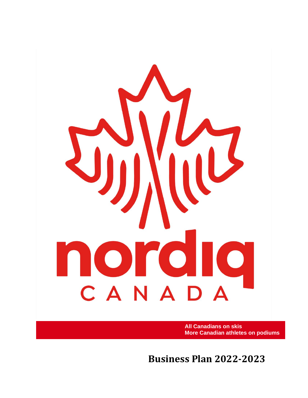

**All Canadians on skis More Canadian athletes on podiums**

**Business Plan 2022-2023**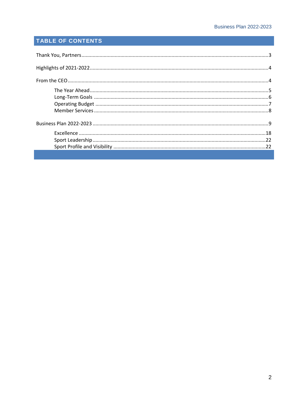# TABLE OF CONTENTS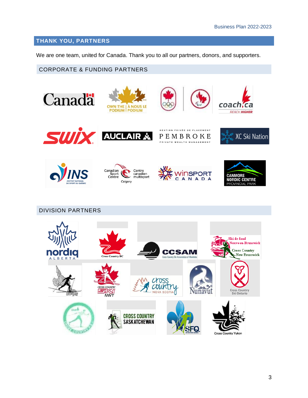# **THANK YOU, PARTNERS**

We are one team, united for Canada. Thank you to all our partners, donors, and supporters.

CORPORATE & FUNDING PARTNERS

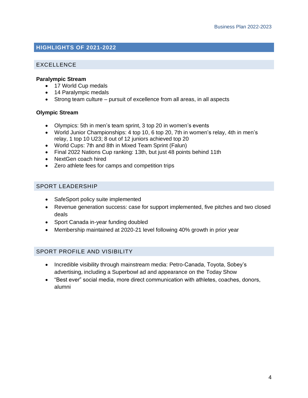# **HIGHLIGHTS OF 2021-2022**

## EXCELLENCE

#### **Paralympic Stream**

- 17 World Cup medals
- 14 Paralympic medals
- Strong team culture pursuit of excellence from all areas, in all aspects

#### **Olympic Stream**

- Olympics: 5th in men's team sprint, 3 top 20 in women's events
- World Junior Championships: 4 top 10, 6 top 20, 7th in women's relay, 4th in men's relay, 1 top 10 U23; 8 out of 12 juniors achieved top 20
- World Cups: 7th and 8th in Mixed Team Sprint (Falun)
- Final 2022 Nations Cup ranking: 13th, but just 48 points behind 11th
- NextGen coach hired
- Zero athlete fees for camps and competition trips

#### SPORT LEADERSHIP

- SafeSport policy suite implemented
- Revenue generation success: case for support implemented, five pitches and two closed deals
- Sport Canada in-year funding doubled
- Membership maintained at 2020-21 level following 40% growth in prior year

### SPORT PROFILE AND VISIBILITY

- Incredible visibility through mainstream media: Petro-Canada, Toyota, Sobey's advertising, including a Superbowl ad and appearance on the Today Show
- "Best ever" social media, more direct communication with athletes, coaches, donors, alumni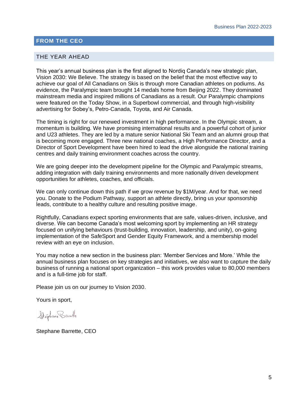#### **FROM THE CEO**

#### THE YEAR AHEAD

This year's annual business plan is the first aligned to Nordiq Canada's new strategic plan, Vision 2030: We Believe. The strategy is based on the belief that the most effective way to achieve our goal of All Canadians on Skis is through more Canadian athletes on podiums. As evidence, the Paralympic team brought 14 medals home from Beijing 2022. They dominated mainstream media and inspired millions of Canadians as a result. Our Paralympic champions were featured on the Today Show, in a Superbowl commercial, and through high-visibility advertising for Sobey's, Petro-Canada, Toyota, and Air Canada.

The timing is right for our renewed investment in high performance. In the Olympic stream, a momentum is building. We have promising international results and a powerful cohort of junior and U23 athletes. They are led by a mature senior National Ski Team and an alumni group that is becoming more engaged. Three new national coaches, a High Performance Director, and a Director of Sport Development have been hired to lead the drive alongside the national training centres and daily training environment coaches across the country.

We are going deeper into the development pipeline for the Olympic and Paralympic streams, adding integration with daily training environments and more nationally driven development opportunities for athletes, coaches, and officials.

We can only continue down this path if we grow revenue by \$1M/year. And for that, we need you. Donate to the Podium Pathway, support an athlete directly, bring us your sponsorship leads, contribute to a healthy culture and resulting positive image.

Rightfully, Canadians expect sporting environments that are safe, values-driven, inclusive, and diverse. We can become Canada's most welcoming sport by implementing an HR strategy focused on unifying behaviours (trust-building, innovation, leadership, and unity), on-going implementation of the SafeSport and Gender Equity Framework, and a membership model review with an eye on inclusion.

You may notice a new section in the business plan: 'Member Services and More.' While the annual business plan focuses on key strategies and initiatives, we also want to capture the daily business of running a national sport organization – this work provides value to 80,000 members and is a full-time job for staff.

Please join us on our journey to Vision 2030.

Yours in sport,

Stéphane Barute

Stephane Barrette, CEO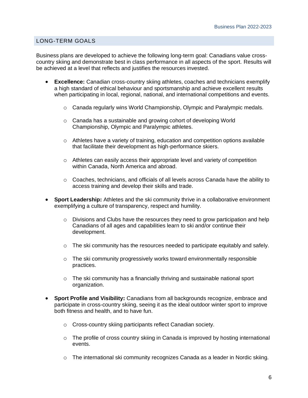#### LONG-TERM GOALS

Business plans are developed to achieve the following long-term goal: Canadians value crosscountry skiing and demonstrate best in class performance in all aspects of the sport. Results will be achieved at a level that reflects and justifies the resources invested.

- **Excellence:** Canadian cross-country skiing athletes, coaches and technicians exemplify a high standard of ethical behaviour and sportsmanship and achieve excellent results when participating in local, regional, national, and international competitions and events.
	- $\circ$  Canada regularly wins World Championship, Olympic and Paralympic medals.
	- o Canada has a sustainable and growing cohort of developing World Championship, Olympic and Paralympic athletes.
	- $\circ$  Athletes have a variety of training, education and competition options available that facilitate their development as high-performance skiers.
	- $\circ$  Athletes can easily access their appropriate level and variety of competition within Canada, North America and abroad.
	- o Coaches, technicians, and officials of all levels across Canada have the ability to access training and develop their skills and trade.
- **Sport Leadership:** Athletes and the ski community thrive in a collaborative environment exemplifying a culture of transparency, respect and humility.
	- $\circ$  Divisions and Clubs have the resources they need to grow participation and help Canadians of all ages and capabilities learn to ski and/or continue their development.
	- $\circ$  The ski community has the resources needed to participate equitably and safely.
	- $\circ$  The ski community progressively works toward environmentally responsible practices.
	- $\circ$  The ski community has a financially thriving and sustainable national sport organization.
- **Sport Profile and Visibility:** Canadians from all backgrounds recognize, embrace and participate in cross-country skiing, seeing it as the ideal outdoor winter sport to improve both fitness and health, and to have fun.
	- o Cross-country skiing participants reflect Canadian society.
	- $\circ$  The profile of cross country skiing in Canada is improved by hosting international events.
	- $\circ$  The international ski community recognizes Canada as a leader in Nordic skiing.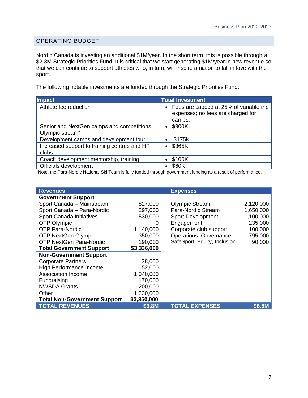### OPERATING BUDGET

Nordiq Canada is investing an additional \$1M/year. In the short term, this is possible through a \$2.3M Strategic Priorities Fund. It is critical that we start generating \$1M/year in new revenue so that we can continue to support athletes who, in turn, will inspire a nation to fall in love with the sport.

The following notable investments are funded through the Strategic Priorities Fund:

| <b>Impact</b>                                                 | <b>Total Investment</b>                                                                  |
|---------------------------------------------------------------|------------------------------------------------------------------------------------------|
| Athlete fee reduction                                         | • Fees are capped at 25% of variable trip<br>expenses; no fees are charged for<br>camps. |
| Senior and NextGen camps and competitions,<br>Olympic stream* | \$900K<br>$\bullet$                                                                      |
| Development camps and development tour                        | \$175K                                                                                   |
| Increased support to training centres and HP<br>clubs         | \$365K                                                                                   |
| Coach development mentorship, training                        | \$100K                                                                                   |
| Officials development                                         | \$60K                                                                                    |

\*Note, the Para-Nordic National Ski Team is fully funded through government funding as a result of performance.

| <b>Revenues</b>                     |               | <b>Expenses</b>              |           |
|-------------------------------------|---------------|------------------------------|-----------|
| <b>Government Support</b>           |               |                              |           |
| Sport Canada - Mainstream           | 827,000       | <b>Olympic Stream</b>        | 2,120,000 |
| Sport Canada - Para-Nordic          | 297,000       | Para-Nordic Stream           | 1,650,000 |
| Sport Canada Initiatives            | 530,000       | <b>Sport Development</b>     | 1,100,000 |
| OTP Olympic                         | $\mathcal{L}$ | Engagement                   | 235,000   |
| <b>OTP Para-Nordic</b>              | 1,140,000     | Corporate club support       | 100,000   |
| <b>OTP NextGen Olympic</b>          | 350,000       | Operations, Governance       | 795,000   |
| <b>OTP NextGen Para-Nordic</b>      | 190,000       | SafeSport, Equity, Inclusion | 90,000    |
| <b>Total Government Support</b>     | \$3,336,000   |                              |           |
| <b>Non-Government Support</b>       |               |                              |           |
| <b>Corporate Partners</b>           | 38,000        |                              |           |
| High Performance Income             | 152,000       |                              |           |
| <b>Association Income</b>           | 1,040,000     |                              |           |
| Fundraising                         | 170,000       |                              |           |
| <b>NWSDA Grants</b>                 | 200,000       |                              |           |
| Other                               | 1,230,000     |                              |           |
| <b>Total Non-Government Support</b> | \$3,350,000   |                              |           |
| <b>TOTAL REVENUES</b>               | \$6.8M        | <b>TOTAL EXPENSES</b>        | \$6.8M    |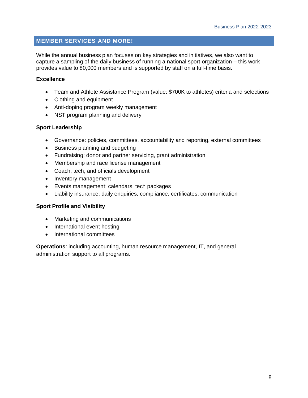# **MEMBER SERVICES AND MORE!**

While the annual business plan focuses on key strategies and initiatives, we also want to capture a sampling of the daily business of running a national sport organization – this work provides value to 80,000 members and is supported by staff on a full-time basis.

### **Excellence**

- Team and Athlete Assistance Program (value: \$700K to athletes) criteria and selections
- Clothing and equipment
- Anti-doping program weekly management
- NST program planning and delivery

#### **Sport Leadership**

- Governance: policies, committees, accountability and reporting, external committees
- Business planning and budgeting
- Fundraising: donor and partner servicing, grant administration
- Membership and race license management
- Coach, tech, and officials development
- Inventory management
- Events management: calendars, tech packages
- Liability insurance: daily enquiries, compliance, certificates, communication

#### **Sport Profile and Visibility**

- Marketing and communications
- International event hosting
- International committees

**Operations**: including accounting, human resource management, IT, and general administration support to all programs.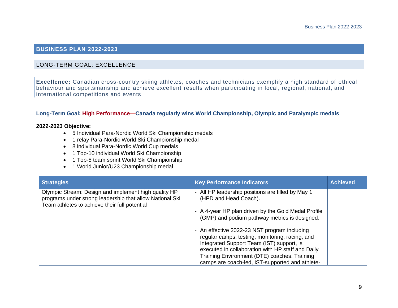# **BUSINESS PLAN 2022-2023**

#### LONG-TERM GOAL: EXCELLENCE

**Excellence:** Canadian cross-country skiing athletes, coaches and technicians exemplify a high standard of ethical behaviour and sportsmanship and achieve excellent results when participating in local, regional, national, and international competitions and events

#### **Long-Term Goal: High Performance—Canada regularly wins World Championship, Olympic and Paralympic medals**

#### **2022-2023 Objective:**

- 5 Individual Para-Nordic World Ski Championship medals
- 1 relay Para-Nordic World Ski Championship medal
- 8 individual Para-Nordic World Cup medals
- 1 Top-10 individual World Ski Championship
- 1 Top-5 team sprint World Ski Championship
- 1 World Junior/U23 Championship medal

| <b>Strategies</b>                                                                                                                                                 | <b>Key Performance Indicators</b>                                                                                                                                                                 | <b>Achieved</b> |
|-------------------------------------------------------------------------------------------------------------------------------------------------------------------|---------------------------------------------------------------------------------------------------------------------------------------------------------------------------------------------------|-----------------|
| Olympic Stream: Design and implement high quality HP<br>programs under strong leadership that allow National Ski<br>Team athletes to achieve their full potential | - All HP leadership positions are filled by May 1<br>(HPD and Head Coach).                                                                                                                        |                 |
|                                                                                                                                                                   | - A 4-year HP plan driven by the Gold Medal Profile<br>(GMP) and podium pathway metrics is designed.                                                                                              |                 |
|                                                                                                                                                                   | - An effective 2022-23 NST program including<br>regular camps, testing, monitoring, racing, and<br>Integrated Support Team (IST) support, is<br>executed in collaboration with HP staff and Daily |                 |
|                                                                                                                                                                   | Training Environment (DTE) coaches. Training<br>camps are coach-led, IST-supported and athlete-                                                                                                   |                 |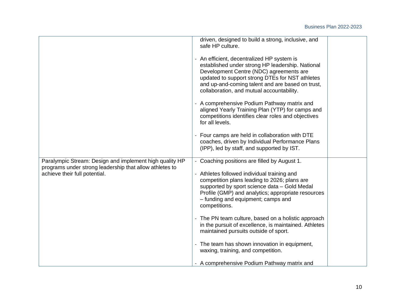|                                                                                                                    | driven, designed to build a strong, inclusive, and<br>safe HP culture.                                                                                                                                                                                                                        |
|--------------------------------------------------------------------------------------------------------------------|-----------------------------------------------------------------------------------------------------------------------------------------------------------------------------------------------------------------------------------------------------------------------------------------------|
|                                                                                                                    | - An efficient, decentralized HP system is<br>established under strong HP leadership. National<br>Development Centre (NDC) agreements are<br>updated to support strong DTEs for NST athletes<br>and up-and-coming talent and are based on trust,<br>collaboration, and mutual accountability. |
|                                                                                                                    | - A comprehensive Podium Pathway matrix and<br>aligned Yearly Training Plan (YTP) for camps and<br>competitions identifies clear roles and objectives<br>for all levels.                                                                                                                      |
|                                                                                                                    | - Four camps are held in collaboration with DTE<br>coaches, driven by Individual Performance Plans<br>(IPP), led by staff, and supported by IST.                                                                                                                                              |
| Paralympic Stream: Design and implement high quality HP<br>programs under strong leadership that allow athletes to | - Coaching positions are filled by August 1.                                                                                                                                                                                                                                                  |
| achieve their full potential.                                                                                      | - Athletes followed individual training and<br>competition plans leading to 2026; plans are<br>supported by sport science data - Gold Medal<br>Profile (GMP) and analytics; appropriate resources<br>- funding and equipment; camps and<br>competitions.                                      |
|                                                                                                                    | - The PN team culture, based on a holistic approach<br>in the pursuit of excellence, is maintained. Athletes<br>maintained pursuits outside of sport.                                                                                                                                         |
|                                                                                                                    | - The team has shown innovation in equipment,<br>waxing, training, and competition.                                                                                                                                                                                                           |
|                                                                                                                    | - A comprehensive Podium Pathway matrix and                                                                                                                                                                                                                                                   |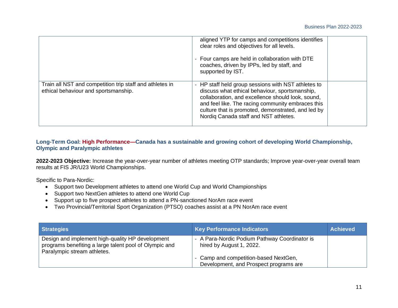|                                                                                                  | aligned YTP for camps and competitions identifies<br>clear roles and objectives for all levels.<br>- Four camps are held in collaboration with DTE<br>coaches, driven by IPPs, led by staff, and<br>supported by IST.                                                                                          |  |
|--------------------------------------------------------------------------------------------------|----------------------------------------------------------------------------------------------------------------------------------------------------------------------------------------------------------------------------------------------------------------------------------------------------------------|--|
| Train all NST and competition trip staff and athletes in<br>ethical behaviour and sportsmanship. | - HP staff held group sessions with NST athletes to<br>discuss what ethical behaviour, sportsmanship,<br>collaboration, and excellence should look, sound,<br>and feel like. The racing community embraces this<br>culture that is promoted, demonstrated, and led by<br>Nordig Canada staff and NST athletes. |  |

### **Long-Term Goal: High Performance—Canada has a sustainable and growing cohort of developing World Championship, Olympic and Paralympic athletes**

**2022-2023 Objective:** Increase the year-over-year number of athletes meeting OTP standards; Improve year-over-year overall team results at FIS JR/U23 World Championships.

Specific to Para-Nordic:

- Support two Development athletes to attend one World Cup and World Championships
- Support two NextGen athletes to attend one World Cup
- Support up to five prospect athletes to attend a PN-sanctioned NorAm race event
- Two Provincial/Territorial Sport Organization (PTSO) coaches assist at a PN NorAm race event

| <b>Strategies</b>                                                                                                                         | <b>Key Performance Indicators</b>                                               | <b>Achieved</b> |
|-------------------------------------------------------------------------------------------------------------------------------------------|---------------------------------------------------------------------------------|-----------------|
| Design and implement high-quality HP development<br>programs benefiting a large talent pool of Olympic and<br>Paralympic stream athletes. | - A Para-Nordic Podium Pathway Coordinator is<br>hired by August 1, 2022.       |                 |
|                                                                                                                                           | - Camp and competition-based NextGen,<br>Development, and Prospect programs are |                 |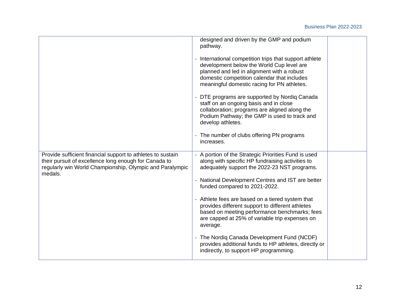|                                                                                                                                                                                             | designed and driven by the GMP and podium<br>pathway.<br>- International competition trips that support athlete<br>development below the World Cup level are<br>planned and led in alignment with a robust<br>domestic competition calendar that includes<br>meaningful domestic racing for PN athletes.<br>- DTE programs are supported by Nordiq Canada<br>staff on an ongoing basis and in close<br>collaboration; programs are aligned along the<br>Podium Pathway; the GMP is used to track and<br>develop athletes.<br>- The number of clubs offering PN programs<br>increases.                                   |  |
|---------------------------------------------------------------------------------------------------------------------------------------------------------------------------------------------|-------------------------------------------------------------------------------------------------------------------------------------------------------------------------------------------------------------------------------------------------------------------------------------------------------------------------------------------------------------------------------------------------------------------------------------------------------------------------------------------------------------------------------------------------------------------------------------------------------------------------|--|
| Provide sufficient financial support to athletes to sustain<br>their pursuit of excellence long enough for Canada to<br>regularly win World Championship, Olympic and Paralympic<br>medals. | - A portion of the Strategic Priorities Fund is used<br>along with specific HP fundraising activities to<br>adequately support the 2022-23 NST programs.<br>- National Development Centres and IST are better<br>funded compared to 2021-2022.<br>- Athlete fees are based on a tiered system that<br>provides different support to different athletes<br>based on meeting performance benchmarks; fees<br>are capped at 25% of variable trip expenses on<br>average.<br>- The Nordig Canada Development Fund (NCDF)<br>provides additional funds to HP athletes, directly or<br>indirectly, to support HP programming. |  |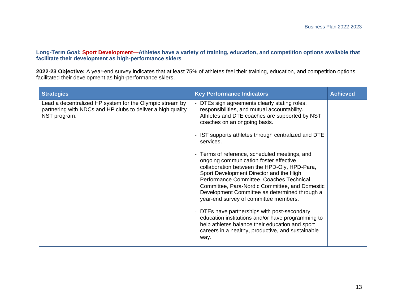#### **Long-Term Goal: Sport Development—Athletes have a variety of training, education, and competition options available that facilitate their development as high-performance skiers**

**2022-23 Objective:** A year-end survey indicates that at least 75% of athletes feel their training, education, and competition options facilitated their development as high-performance skiers.

| <b>Strategies</b>                                                                                                                       | <b>Key Performance Indicators</b>                                                                                                                                                                                                                                                                                                                                                                                                                                                                                                                                                                                                                                                                                                                                                                                                                     | <b>Achieved</b> |
|-----------------------------------------------------------------------------------------------------------------------------------------|-------------------------------------------------------------------------------------------------------------------------------------------------------------------------------------------------------------------------------------------------------------------------------------------------------------------------------------------------------------------------------------------------------------------------------------------------------------------------------------------------------------------------------------------------------------------------------------------------------------------------------------------------------------------------------------------------------------------------------------------------------------------------------------------------------------------------------------------------------|-----------------|
| Lead a decentralized HP system for the Olympic stream by<br>partnering with NDCs and HP clubs to deliver a high quality<br>NST program. | - DTEs sign agreements clearly stating roles,<br>responsibilities, and mutual accountability.<br>Athletes and DTE coaches are supported by NST<br>coaches on an ongoing basis.<br>- IST supports athletes through centralized and DTE<br>services.<br>- Terms of reference, scheduled meetings, and<br>ongoing communication foster effective<br>collaboration between the HPD-Oly, HPD-Para,<br>Sport Development Director and the High<br>Performance Committee, Coaches Technical<br>Committee, Para-Nordic Committee, and Domestic<br>Development Committee as determined through a<br>year-end survey of committee members.<br>- DTEs have partnerships with post-secondary<br>education institutions and/or have programming to<br>help athletes balance their education and sport<br>careers in a healthy, productive, and sustainable<br>way. |                 |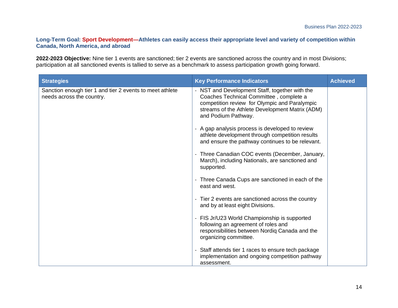#### **Long-Term Goal: Sport Development—Athletes can easily access their appropriate level and variety of competition within Canada, North America, and abroad**

**2022-2023 Objective:** Nine tier 1 events are sanctioned; tier 2 events are sanctioned across the country and in most Divisions; participation at all sanctioned events is tallied to serve as a benchmark to assess participation growth going forward.

| <b>Strategies</b>                                                                     | <b>Key Performance Indicators</b>                                                                                                                                                                                    | <b>Achieved</b> |
|---------------------------------------------------------------------------------------|----------------------------------------------------------------------------------------------------------------------------------------------------------------------------------------------------------------------|-----------------|
| Sanction enough tier 1 and tier 2 events to meet athlete<br>needs across the country. | - NST and Development Staff, together with the<br>Coaches Technical Committee, complete a<br>competition review for Olympic and Paralympic<br>streams of the Athlete Development Matrix (ADM)<br>and Podium Pathway. |                 |
|                                                                                       | - A gap analysis process is developed to review<br>athlete development through competition results<br>and ensure the pathway continues to be relevant.                                                               |                 |
|                                                                                       | - Three Canadian COC events (December, January,<br>March), including Nationals, are sanctioned and<br>supported.                                                                                                     |                 |
|                                                                                       | - Three Canada Cups are sanctioned in each of the<br>east and west.                                                                                                                                                  |                 |
|                                                                                       | - Tier 2 events are sanctioned across the country<br>and by at least eight Divisions.                                                                                                                                |                 |
|                                                                                       | - FIS Jr/U23 World Championship is supported<br>following an agreement of roles and<br>responsibilities between Nordiq Canada and the<br>organizing committee.                                                       |                 |
|                                                                                       | - Staff attends tier 1 races to ensure tech package<br>implementation and ongoing competition pathway<br>assessment.                                                                                                 |                 |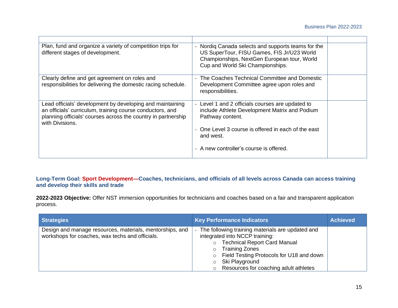| Plan, fund and organize a variety of competition trips for<br>different stages of development.                                                                                                             | Nordig Canada selects and supports teams for the<br>US SuperTour, FISU Games, FIS Jr/U23 World<br>Championships, NextGen European tour, World<br>Cup and World Ski Championships. |
|------------------------------------------------------------------------------------------------------------------------------------------------------------------------------------------------------------|-----------------------------------------------------------------------------------------------------------------------------------------------------------------------------------|
| Clearly define and get agreement on roles and<br>responsibilities for delivering the domestic racing schedule.                                                                                             | - The Coaches Technical Committee and Domestic<br>Development Committee agree upon roles and<br>responsibilities.                                                                 |
| Lead officials' development by developing and maintaining<br>an officials' curriculum, training course conductors, and<br>planning officials' courses across the country in partnership<br>with Divisions. | - Level 1 and 2 officials courses are updated to<br>include Athlete Development Matrix and Podium<br>Pathway content.                                                             |
|                                                                                                                                                                                                            | - One Level 3 course is offered in each of the east<br>and west.                                                                                                                  |
|                                                                                                                                                                                                            | - A new controller's course is offered.                                                                                                                                           |

# **Long-Term Goal: Sport Development—Coaches, technicians, and officials of all levels across Canada can access training and develop their skills and trade**

**2022-2023 Objective:** Offer NST immersion opportunities for technicians and coaches based on a fair and transparent application process.

| <b>Strategies</b>                                                                                           | <b>Key Performance Indicators</b>                                                                                                                                                                                                                                                                     | <b>Achieved</b> |
|-------------------------------------------------------------------------------------------------------------|-------------------------------------------------------------------------------------------------------------------------------------------------------------------------------------------------------------------------------------------------------------------------------------------------------|-----------------|
| Design and manage resources, materials, mentorships, and<br>workshops for coaches, wax techs and officials. | The following training materials are updated and<br>integrated into NCCP training:<br><b>Technical Report Card Manual</b><br>$\circ$<br><b>Training Zones</b><br>Field Testing Protocols for U18 and down<br>$\circ$<br>Ski Playground<br>$\circ$<br>Resources for coaching adult athletes<br>$\circ$ |                 |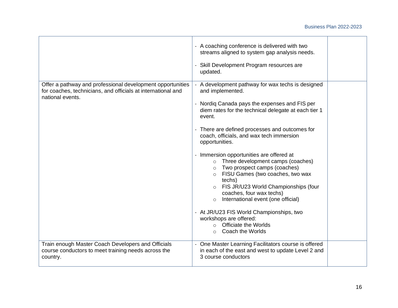#### Business Plan 2022-2023

|                                                                                                                                                | - A coaching conference is delivered with two<br>streams aligned to system gap analysis needs.<br>- Skill Development Program resources are<br>updated.                                                                                                                                                                                                                                                                                                                                                                                                                                                                                                                                                                                                |  |
|------------------------------------------------------------------------------------------------------------------------------------------------|--------------------------------------------------------------------------------------------------------------------------------------------------------------------------------------------------------------------------------------------------------------------------------------------------------------------------------------------------------------------------------------------------------------------------------------------------------------------------------------------------------------------------------------------------------------------------------------------------------------------------------------------------------------------------------------------------------------------------------------------------------|--|
| Offer a pathway and professional development opportunities<br>for coaches, technicians, and officials at international and<br>national events. | - A development pathway for wax techs is designed<br>and implemented.<br>- Nordig Canada pays the expenses and FIS per<br>diem rates for the technical delegate at each tier 1<br>event.<br>- There are defined processes and outcomes for<br>coach, officials, and wax tech immersion<br>opportunities.<br>- Immersion opportunities are offered at<br>Three development camps (coaches)<br>Two prospect camps (coaches)<br>$\circ$<br>FISU Games (two coaches, two wax<br>$\circ$<br>techs)<br>FIS JR/U23 World Championships (four<br>coaches, four wax techs)<br>International event (one official)<br>$\circ$<br>- At JR/U23 FIS World Championships, two<br>workshops are offered:<br><b>Officiate the Worlds</b><br>Coach the Worlds<br>$\circ$ |  |
| Train enough Master Coach Developers and Officials<br>course conductors to meet training needs across the<br>country.                          | - One Master Learning Facilitators course is offered<br>in each of the east and west to update Level 2 and<br>3 course conductors                                                                                                                                                                                                                                                                                                                                                                                                                                                                                                                                                                                                                      |  |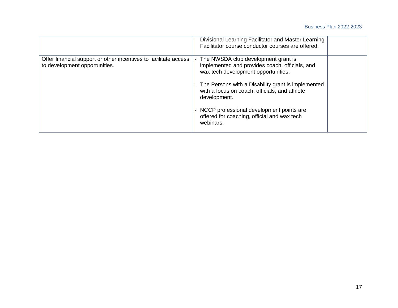|                                                                                                   | - Divisional Learning Facilitator and Master Learning<br>Facilitator course conductor courses are offered.                                                                                                                                                                                                                                                      |  |
|---------------------------------------------------------------------------------------------------|-----------------------------------------------------------------------------------------------------------------------------------------------------------------------------------------------------------------------------------------------------------------------------------------------------------------------------------------------------------------|--|
| Offer financial support or other incentives to facilitate access<br>to development opportunities. | The NWSDA club development grant is<br>implemented and provides coach, officials, and<br>wax tech development opportunities.<br>- The Persons with a Disability grant is implemented<br>with a focus on coach, officials, and athlete<br>development.<br>- NCCP professional development points are<br>offered for coaching, official and wax tech<br>webinars. |  |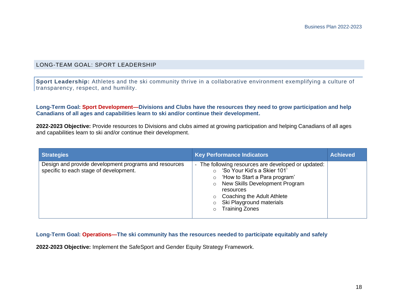#### LONG-TEAM GOAL: SPORT LEADERSHIP

**Sport Leadership:** Athletes and the ski community thrive in a collaborative environment exemplifying a culture of transparency, respect, and humility.

#### **Long-Term Goal: Sport Development—Divisions and Clubs have the resources they need to grow participation and help Canadians of all ages and capabilities learn to ski and/or continue their development.**

**2022-2023 Objective:** Provide resources to Divisions and clubs aimed at growing participation and helping Canadians of all ages and capabilities learn to ski and/or continue their development.

| <b>Strategies</b>                                                                               | <b>Key Performance Indicators</b>                                                                                                                                                                                                                              | <b>Achieved</b> |
|-------------------------------------------------------------------------------------------------|----------------------------------------------------------------------------------------------------------------------------------------------------------------------------------------------------------------------------------------------------------------|-----------------|
| Design and provide development programs and resources<br>specific to each stage of development. | The following resources are developed or updated:<br>'So Your Kid's a Skier 101'<br>'How to Start a Para program'<br>$\circ$<br>New Skills Development Program<br>resources<br>Coaching the Adult Athlete<br>Ski Playground materials<br><b>Training Zones</b> |                 |

#### **Long-Term Goal: Operations—The ski community has the resources needed to participate equitably and safely**

**2022-2023 Objective:** Implement the SafeSport and Gender Equity Strategy Framework.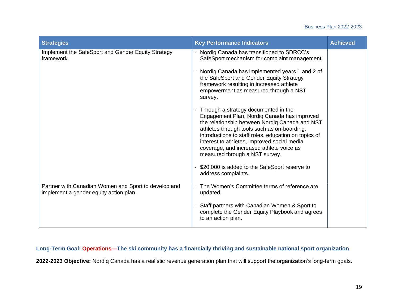#### Business Plan 2022-2023

| <b>Strategies</b>                                                                              | <b>Key Performance Indicators</b>                                                                                                                                                                                                                                                                                                                                           | <b>Achieved</b> |
|------------------------------------------------------------------------------------------------|-----------------------------------------------------------------------------------------------------------------------------------------------------------------------------------------------------------------------------------------------------------------------------------------------------------------------------------------------------------------------------|-----------------|
| Implement the SafeSport and Gender Equity Strategy<br>framework.                               | - Nordiq Canada has transitioned to SDRCC's<br>SafeSport mechanism for complaint management.                                                                                                                                                                                                                                                                                |                 |
|                                                                                                | - Nordiq Canada has implemented years 1 and 2 of<br>the SafeSport and Gender Equity Strategy<br>framework resulting in increased athlete<br>empowerment as measured through a NST<br>survey.                                                                                                                                                                                |                 |
|                                                                                                | - Through a strategy documented in the<br>Engagement Plan, Nordiq Canada has improved<br>the relationship between Nordiq Canada and NST<br>athletes through tools such as on-boarding,<br>introductions to staff roles, education on topics of<br>interest to athletes, improved social media<br>coverage, and increased athlete voice as<br>measured through a NST survey. |                 |
|                                                                                                | \$20,000 is added to the SafeSport reserve to<br>address complaints.                                                                                                                                                                                                                                                                                                        |                 |
| Partner with Canadian Women and Sport to develop and<br>implement a gender equity action plan. | The Women's Committee terms of reference are<br>updated.                                                                                                                                                                                                                                                                                                                    |                 |
|                                                                                                | Staff partners with Canadian Women & Sport to<br>complete the Gender Equity Playbook and agrees<br>to an action plan.                                                                                                                                                                                                                                                       |                 |

# **Long-Term Goal: Operations—The ski community has a financially thriving and sustainable national sport organization**

**2022-2023 Objective:** Nordiq Canada has a realistic revenue generation plan that will support the organization's long-term goals.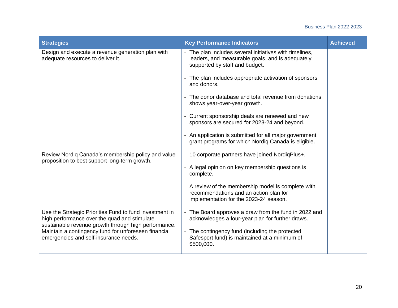# Business Plan 2022-2023

| <b>Strategies</b>                                                                                                                                               | <b>Key Performance Indicators</b>                                                                                                           | <b>Achieved</b> |
|-----------------------------------------------------------------------------------------------------------------------------------------------------------------|---------------------------------------------------------------------------------------------------------------------------------------------|-----------------|
| Design and execute a revenue generation plan with<br>adequate resources to deliver it.                                                                          | The plan includes several initiatives with timelines,<br>leaders, and measurable goals, and is adequately<br>supported by staff and budget. |                 |
|                                                                                                                                                                 | The plan includes appropriate activation of sponsors<br>and donors.                                                                         |                 |
|                                                                                                                                                                 | The donor database and total revenue from donations<br>shows year-over-year growth.                                                         |                 |
|                                                                                                                                                                 | Current sponsorship deals are renewed and new<br>sponsors are secured for 2023-24 and beyond.                                               |                 |
|                                                                                                                                                                 | An application is submitted for all major government<br>grant programs for which Nordiq Canada is eligible.                                 |                 |
| Review Nordiq Canada's membership policy and value<br>proposition to best support long-term growth.                                                             | 10 corporate partners have joined NordigPlus+.                                                                                              |                 |
|                                                                                                                                                                 | A legal opinion on key membership questions is<br>complete.                                                                                 |                 |
|                                                                                                                                                                 | - A review of the membership model is complete with<br>recommendations and an action plan for<br>implementation for the 2023-24 season.     |                 |
| Use the Strategic Priorities Fund to fund investment in<br>high performance over the quad and stimulate<br>sustainable revenue growth through high performance. | The Board approves a draw from the fund in 2022 and<br>acknowledges a four-year plan for further draws.                                     |                 |
| Maintain a contingency fund for unforeseen financial<br>emergencies and self-insurance needs.                                                                   | The contingency fund (including the protected<br>Safesport fund) is maintained at a minimum of<br>\$500,000.                                |                 |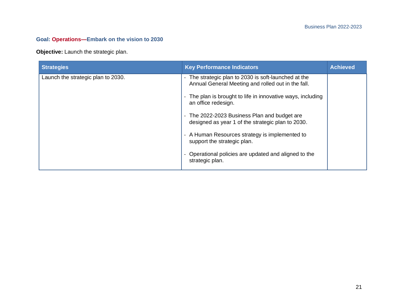# **Goal: Operations—Embark on the vision to 2030**

**Objective:** Launch the strategic plan.

| <b>Strategies</b>                  | <b>Key Performance Indicators</b>                                                                                           | <b>Achieved</b> |
|------------------------------------|-----------------------------------------------------------------------------------------------------------------------------|-----------------|
| Launch the strategic plan to 2030. | The strategic plan to 2030 is soft-launched at the<br>Annual General Meeting and rolled out in the fall.                    |                 |
|                                    | The plan is brought to life in innovative ways, including<br>an office redesign.                                            |                 |
|                                    | The 2022-2023 Business Plan and budget are<br>$\overline{\phantom{a}}$<br>designed as year 1 of the strategic plan to 2030. |                 |
|                                    | - A Human Resources strategy is implemented to<br>support the strategic plan.                                               |                 |
|                                    | Operational policies are updated and aligned to the<br>strategic plan.                                                      |                 |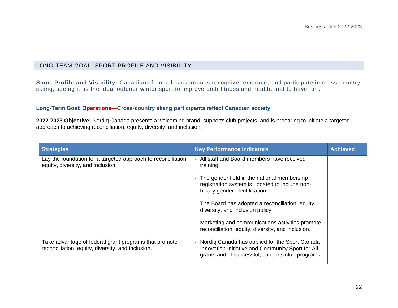# LONG-TEAM GOAL: SPORT PROFILE AND VISIBILITY

**Sport Profile and Visibility:** Canadians from all backgrounds recognize, embrace , and participate in cross-country skiing, seeing it as the ideal outdoor winter sport to improve both fitness and health, and to have fun .

#### **Long-Term Goal: Operations—Cross-country skiing participants reflect Canadian society**

**2022-2023 Objective:** Nordiq Canada presents a welcoming brand, supports club projects, and is preparing to initiate a targeted approach to achieving reconciliation, equity, diversity, and inclusion.

| <b>Strategies</b>                                                                                          | <b>Key Performance Indicators</b>                                                                                                                           | <b>Achieved</b> |
|------------------------------------------------------------------------------------------------------------|-------------------------------------------------------------------------------------------------------------------------------------------------------------|-----------------|
| Lay the foundation for a targeted approach to reconciliation,<br>equity, diversity, and inclusion.         | All staff and Board members have received<br>training.                                                                                                      |                 |
|                                                                                                            | - The gender field in the national membership<br>registration system is updated to include non-<br>binary gender identification.                            |                 |
|                                                                                                            | - The Board has adopted a reconciliation, equity,<br>diversity, and inclusion policy.                                                                       |                 |
|                                                                                                            | - Marketing and communications activities promote<br>reconciliation, equity, diversity, and inclusion.                                                      |                 |
| Take advantage of federal grant programs that promote<br>reconciliation, equity, diversity, and inclusion. | - Nordig Canada has applied for the Sport Canada<br>Innovation Initiative and Community Sport for All<br>grants and, if successful, supports club programs. |                 |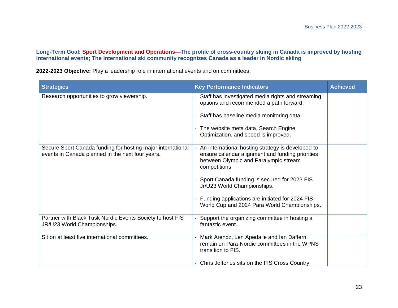**Long-Term Goal: Sport Development and Operations—The profile of cross-country skiing in Canada is improved by hosting international events; The international ski community recognizes Canada as a leader in Nordic skiing**

**2022-2023 Objective:** Play a leadership role in international events and on committees.

| <b>Strategies</b>                                                                                               | <b>Key Performance Indicators</b>                                                                                                                               | <b>Achieved</b> |
|-----------------------------------------------------------------------------------------------------------------|-----------------------------------------------------------------------------------------------------------------------------------------------------------------|-----------------|
| Research opportunities to grow viewership.                                                                      | - Staff has investigated media rights and streaming<br>options and recommended a path forward.                                                                  |                 |
|                                                                                                                 | - Staff has baseline media monitoring data.                                                                                                                     |                 |
|                                                                                                                 | - The website meta data, Search Engine<br>Optimization, and speed is improved.                                                                                  |                 |
| Secure Sport Canada funding for hosting major international<br>events in Canada planned in the next four years. | An international hosting strategy is developed to<br>ensure calendar alignment and funding priorities<br>between Olympic and Paralympic stream<br>competitions. |                 |
|                                                                                                                 | - Sport Canada funding is secured for 2023 FIS<br>Jr/U23 World Championships.                                                                                   |                 |
|                                                                                                                 | - Funding applications are initiated for 2024 FIS<br>World Cup and 2024 Para World Championships.                                                               |                 |
| Partner with Black Tusk Nordic Events Society to host FIS<br>JR/U23 World Championships.                        | - Support the organizing committee in hosting a<br>fantastic event.                                                                                             |                 |
| Sit on at least five international committees.                                                                  | - Mark Arendz, Len Apedaile and Ian Daffern<br>remain on Para-Nordic committees in the WPNS<br>transition to FIS.                                               |                 |
|                                                                                                                 | - Chris Jefferies sits on the FIS Cross Country                                                                                                                 |                 |